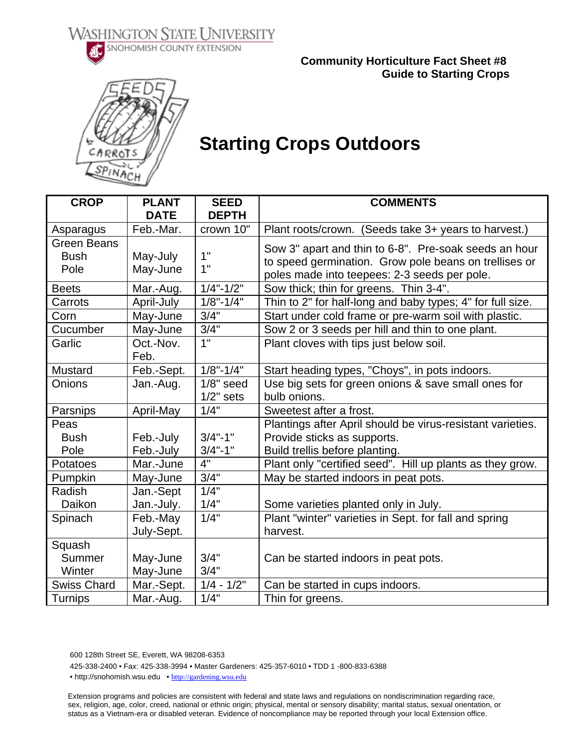**WASHINGTON STATE UNIVERSITY** SNOHOMISH COUNTY EXTENSION



 **Community Horticulture Fact Sheet #8 Guide to Starting Crops** 



## **Starting Crops Outdoors**

| <b>CROP</b>                     | <b>PLANT</b><br><b>DATE</b> | <b>SEED</b><br><b>DEPTH</b> | <b>COMMENTS</b>                                            |  |
|---------------------------------|-----------------------------|-----------------------------|------------------------------------------------------------|--|
|                                 | Feb.-Mar.                   | crown 10"                   |                                                            |  |
| Asparagus<br><b>Green Beans</b> |                             |                             | Plant roots/crown. (Seeds take 3+ years to harvest.)       |  |
| <b>Bush</b>                     |                             | 1"                          | Sow 3" apart and thin to 6-8". Pre-soak seeds an hour      |  |
| Pole                            | May-July<br>May-June        | 1"                          | to speed germination. Grow pole beans on trellises or      |  |
|                                 |                             |                             | poles made into teepees: 2-3 seeds per pole.               |  |
| <b>Beets</b>                    | Mar.-Aug.                   | $1/4" - 1/2"$               | Sow thick; thin for greens. Thin 3-4".                     |  |
| Carrots                         | April-July                  | $1/8" - 1/4"$               | Thin to 2" for half-long and baby types; 4" for full size. |  |
| Corn                            | May-June                    | 3/4"                        | Start under cold frame or pre-warm soil with plastic.      |  |
| Cucumber                        | May-June                    | 3/4"                        | Sow 2 or 3 seeds per hill and thin to one plant.           |  |
| Garlic                          | Oct.-Nov.                   | 1"                          | Plant cloves with tips just below soil.                    |  |
|                                 | Feb.                        |                             |                                                            |  |
| Mustard                         | Feb.-Sept.                  | $1/8" - 1/4"$               | Start heading types, "Choys", in pots indoors.             |  |
| Onions                          | Jan.-Aug.                   | $1/8"$ seed                 | Use big sets for green onions & save small ones for        |  |
|                                 |                             | $1/2$ " sets                | bulb onions.                                               |  |
| Parsnips                        | April-May                   | 1/4"                        | Sweetest after a frost.                                    |  |
| Peas                            |                             |                             | Plantings after April should be virus-resistant varieties. |  |
| <b>Bush</b>                     | Feb.-July                   | $3/4" - 1"$                 | Provide sticks as supports.                                |  |
| Pole                            | Feb.-July                   | $3/4" - 1"$                 | Build trellis before planting.                             |  |
| Potatoes                        | Mar.-June                   | 4"                          | Plant only "certified seed". Hill up plants as they grow.  |  |
| Pumpkin                         | May-June                    | 3/4"                        | May be started indoors in peat pots.                       |  |
| Radish                          | Jan.-Sept                   | 1/4"                        |                                                            |  |
| Daikon                          | Jan.-July.                  | 1/4"                        | Some varieties planted only in July.                       |  |
| Spinach                         | Feb.-May                    | 1/4"                        | Plant "winter" varieties in Sept. for fall and spring      |  |
|                                 | July-Sept.                  |                             | harvest.                                                   |  |
| Squash                          |                             |                             |                                                            |  |
| Summer                          | May-June                    | 3/4"                        | Can be started indoors in peat pots.                       |  |
| Winter                          | May-June                    | 3/4"                        |                                                            |  |
| <b>Swiss Chard</b>              | Mar.-Sept.                  | $1/4 - 1/2"$                | Can be started in cups indoors.                            |  |
| <b>Turnips</b>                  | Mar.-Aug.                   | 1/4"                        | Thin for greens.                                           |  |

600 128th Street SE, Everett, WA 98208-6353

425-338-2400 • Fax: 425-338-3994 • Master Gardeners: 425-357-6010 • TDD 1 -800-833-6388

• http://snohomish.wsu.edu • http://gardening.wsu.edu

Extension programs and policies are consistent with federal and state laws and regulations on nondiscrimination regarding race, sex, religion, age, color, creed, national or ethnic origin; physical, mental or sensory disability; marital status, sexual orientation, or status as a Vietnam-era or disabled veteran. Evidence of noncompliance may be reported through your local Extension office.